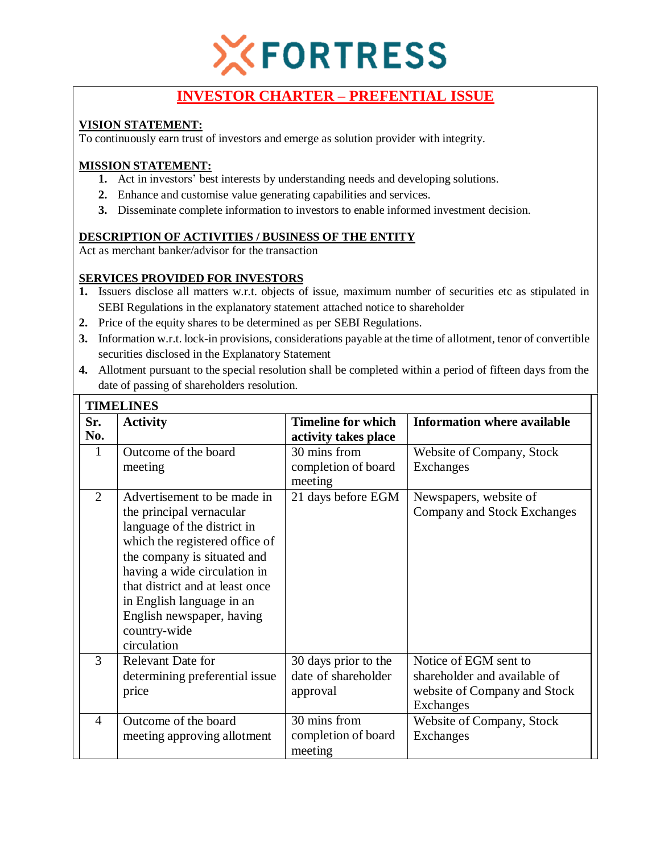

# **INVESTOR CHARTER – PREFENTIAL ISSUE**

## **VISION STATEMENT:**

To continuously earn trust of investors and emerge as solution provider with integrity.

## **MISSION STATEMENT:**

- **1.** Act in investors' best interests by understanding needs and developing solutions.
- **2.** Enhance and customise value generating capabilities and services.
- **3.** Disseminate complete information to investors to enable informed investment decision.

## **DESCRIPTION OF ACTIVITIES / BUSINESS OF THE ENTITY**

Act as merchant banker/advisor for the transaction

## **SERVICES PROVIDED FOR INVESTORS**

- **1.** Issuers disclose all matters w.r.t. objects of issue, maximum number of securities etc as stipulated in SEBI Regulations in the explanatory statement attached notice to shareholder
- **2.** Price of the equity shares to be determined as per SEBI Regulations.
- **3.** Information w.r.t. lock-in provisions, considerations payable at the time of allotment, tenor of convertible securities disclosed in the Explanatory Statement
- **4.** Allotment pursuant to the special resolution shall be completed within a period of fifteen days from the date of passing of shareholders resolution.

| <b>TIMELINES</b> |                                                                                                                                                                                                                                                                                                                     |                                                         |                                                                                                    |  |  |  |
|------------------|---------------------------------------------------------------------------------------------------------------------------------------------------------------------------------------------------------------------------------------------------------------------------------------------------------------------|---------------------------------------------------------|----------------------------------------------------------------------------------------------------|--|--|--|
| Sr.<br>No.       | <b>Activity</b>                                                                                                                                                                                                                                                                                                     | <b>Timeline for which</b><br>activity takes place       | <b>Information where available</b>                                                                 |  |  |  |
| 1                | Outcome of the board<br>meeting                                                                                                                                                                                                                                                                                     | 30 mins from<br>completion of board<br>meeting          | Website of Company, Stock<br>Exchanges                                                             |  |  |  |
| $\overline{2}$   | Advertisement to be made in<br>the principal vernacular<br>language of the district in<br>which the registered office of<br>the company is situated and<br>having a wide circulation in<br>that district and at least once<br>in English language in an<br>English newspaper, having<br>country-wide<br>circulation | 21 days before EGM                                      | Newspapers, website of<br>Company and Stock Exchanges                                              |  |  |  |
| 3                | Relevant Date for<br>determining preferential issue<br>price                                                                                                                                                                                                                                                        | 30 days prior to the<br>date of shareholder<br>approval | Notice of EGM sent to<br>shareholder and available of<br>website of Company and Stock<br>Exchanges |  |  |  |
| $\overline{4}$   | Outcome of the board<br>meeting approving allotment                                                                                                                                                                                                                                                                 | 30 mins from<br>completion of board<br>meeting          | Website of Company, Stock<br><b>Exchanges</b>                                                      |  |  |  |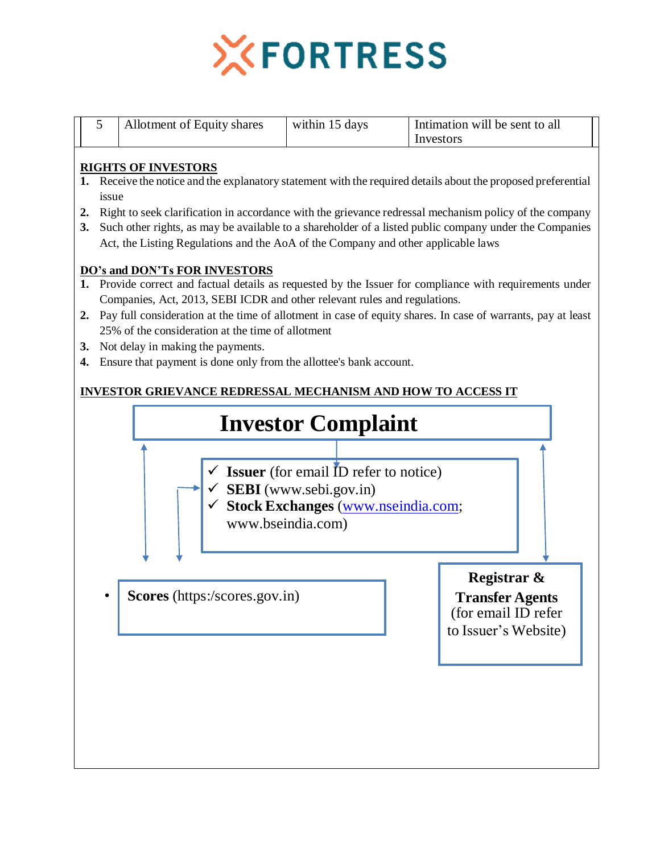

|  | Allotment of Equity shares | within 15 days | Intimation will be sent to all |  |
|--|----------------------------|----------------|--------------------------------|--|
|  |                            |                | Investors                      |  |

### **RIGHTS OF INVESTORS**

- **1.** Receive the notice and the explanatory statement with the required details about the proposed preferential issue
- **2.** Right to seek clarification in accordance with the grievance redressal mechanism policy of the company
- **3.** Such other rights, as may be available to a shareholder of a listed public company under the Companies Act, the Listing Regulations and the AoA of the Company and other applicable laws

#### **DO's and DON'Ts FOR INVESTORS**

- **1.** Provide correct and factual details as requested by the Issuer for compliance with requirements under Companies, Act, 2013, SEBI ICDR and other relevant rules and regulations.
- **2.** Pay full consideration at the time of allotment in case of equity shares. In case of warrants, pay at least 25% of the consideration at the time of allotment
- **3.** Not delay in making the payments.
- **4.** Ensure that payment is done only from the allottee's bank account.

## **INVESTOR GRIEVANCE REDRESSAL MECHANISM AND HOW TO ACCESS IT**

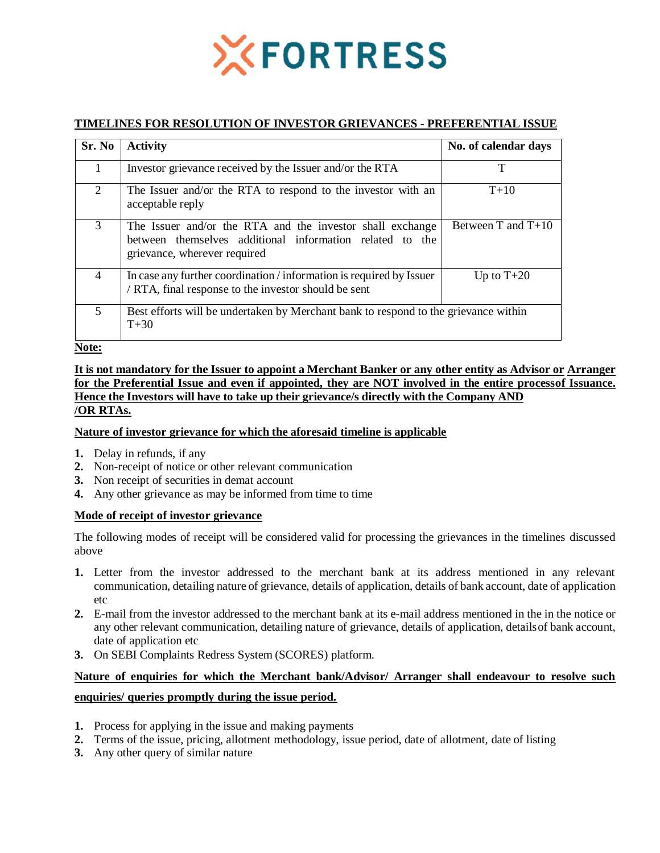

#### **TIMELINES FOR RESOLUTION OF INVESTOR GRIEVANCES - PREFERENTIAL ISSUE**

| Sr. No | <b>Activity</b>                                                                                                                                       | No. of calendar days   |
|--------|-------------------------------------------------------------------------------------------------------------------------------------------------------|------------------------|
| 1      | Investor grievance received by the Issuer and/or the RTA                                                                                              | т                      |
| 2      | The Issuer and/or the RTA to respond to the investor with an<br>acceptable reply                                                                      | $T+10$                 |
| 3      | The Issuer and/or the RTA and the investor shall exchange<br>between themselves additional information related to the<br>grievance, wherever required | Between $T$ and $T+10$ |
| 4      | In case any further coordination / information is required by Issuer<br>/ RTA, final response to the investor should be sent                          | Up to $T+20$           |
| 5      | Best efforts will be undertaken by Merchant bank to respond to the grievance within<br>$T + 30$                                                       |                        |

**Note:**

#### **It is not mandatory for the Issuer to appoint a Merchant Banker or any other entity as Advisor or Arranger for the Preferential Issue and even if appointed, they are NOT involved in the entire processof Issuance. Hence the Investors will have to take up their grievance/s directly with the Company AND /OR RTAs.**

#### **Nature of investor grievance for which the aforesaid timeline is applicable**

- **1.** Delay in refunds, if any
- **2.** Non-receipt of notice or other relevant communication
- **3.** Non receipt of securities in demat account
- **4.** Any other grievance as may be informed from time to time

#### **Mode of receipt of investor grievance**

The following modes of receipt will be considered valid for processing the grievances in the timelines discussed above

- **1.** Letter from the investor addressed to the merchant bank at its address mentioned in any relevant communication, detailing nature of grievance, details of application, details of bank account, date of application etc
- **2.** E-mail from the investor addressed to the merchant bank at its e-mail address mentioned in the in the notice or any other relevant communication, detailing nature of grievance, details of application, detailsof bank account, date of application etc
- **3.** On SEBI Complaints Redress System (SCORES) platform.

## **Nature of enquiries for which the Merchant bank/Advisor/ Arranger shall endeavour to resolve such enquiries/ queries promptly during the issue period.**

- **1.** Process for applying in the issue and making payments
- **2.** Terms of the issue, pricing, allotment methodology, issue period, date of allotment, date of listing
- **3.** Any other query of similar nature